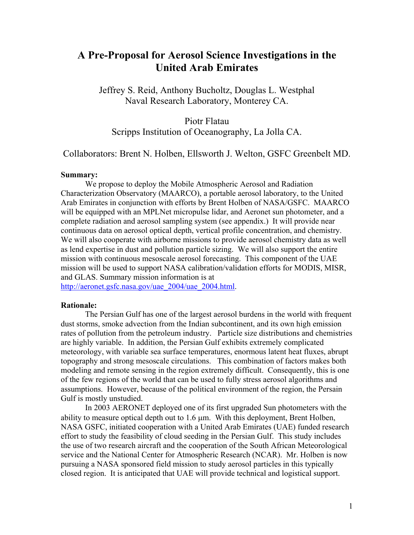# **A Pre-Proposal for Aerosol Science Investigations in the United Arab Emirates**

Jeffrey S. Reid, Anthony Bucholtz, Douglas L. Westphal Naval Research Laboratory, Monterey CA.

Piotr Flatau

Scripps Institution of Oceanography, La Jolla CA.

Collaborators: Brent N. Holben, Ellsworth J. Welton, GSFC Greenbelt MD.

## **Summary:**

We propose to deploy the Mobile Atmospheric Aerosol and Radiation Characterization Observatory (MAARCO), a portable aerosol laboratory, to the United Arab Emirates in conjunction with efforts by Brent Holben of NASA/GSFC. MAARCO will be equipped with an MPLNet micropulse lidar, and Aeronet sun photometer, and a complete radiation and aerosol sampling system (see appendix.) It will provide near continuous data on aerosol optical depth, vertical profile concentration, and chemistry. We will also cooperate with airborne missions to provide aerosol chemistry data as well as lend expertise in dust and pollution particle sizing. We will also support the entire mission with continuous mesoscale aerosol forecasting. This component of the UAE mission will be used to support NASA calibration/validation efforts for MODIS, MISR, and GLAS. Summary mission information is at

[http://aeronet.gsfc.nasa.gov/uae\\_2004/uae\\_2004.html](http://aeronet.gsfc.nasa.gov/uae_2004/uae_2004.html).

#### **Rationale:**

The Persian Gulf has one of the largest aerosol burdens in the world with frequent dust storms, smoke advection from the Indian subcontinent, and its own high emission rates of pollution from the petroleum industry. Particle size distributions and chemistries are highly variable. In addition, the Persian Gulf exhibits extremely complicated meteorology, with variable sea surface temperatures, enormous latent heat fluxes, abrupt topography and strong mesoscale circulations. This combination of factors makes both modeling and remote sensing in the region extremely difficult. Consequently, this is one of the few regions of the world that can be used to fully stress aerosol algorithms and assumptions. However, because of the political environment of the region, the Persain Gulf is mostly unstudied.

In 2003 AERONET deployed one of its first upgraded Sun photometers with the ability to measure optical depth out to 1.6 µm. With this deployment, Brent Holben, NASA GSFC, initiated cooperation with a United Arab Emirates (UAE) funded research effort to study the feasibility of cloud seeding in the Persian Gulf. This study includes the use of two research aircraft and the cooperation of the South African Meteorological service and the National Center for Atmospheric Research (NCAR). Mr. Holben is now pursuing a NASA sponsored field mission to study aerosol particles in this typically closed region. It is anticipated that UAE will provide technical and logistical support.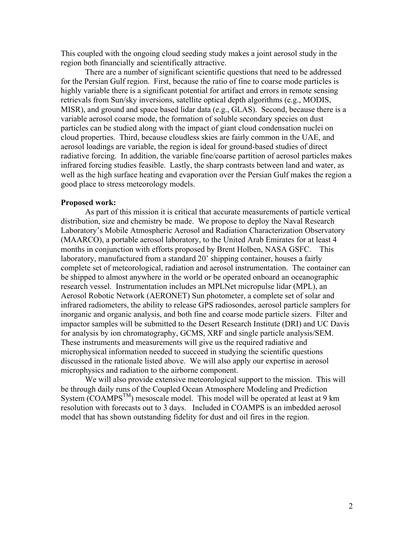This coupled with the ongoing cloud seeding study makes a joint aerosol study in the region both financially and scientifically attractive.

There are a number of significant scientific questions that need to be addressed for the Persian Gulf region. First, because the ratio of fine to coarse mode particles is highly variable there is a significant potential for artifact and errors in remote sensing retrievals from Sun/sky inversions, satellite optical depth algorithms (e.g., MODIS, MISR), and ground and space based lidar data (e.g., GLAS). Second, because there is a variable aerosol coarse mode, the formation of soluble secondary species on dust particles can be studied along with the impact of giant cloud condensation nuclei on cloud properties. Third, because cloudless skies are fairly common in the UAE, and aerosol loadings are variable, the region is ideal for ground-based studies of direct radiative forcing. In addition, the variable fine/coarse partition of aerosol particles makes infrared forcing studies feasible. Lastly, the sharp contrasts between land and water, as well as the high surface heating and evaporation over the Persian Gulf makes the region a good place to stress meteorology models.

#### **Proposed work:**

As part of this mission it is critical that accurate measurements of particle vertical distribution, size and chemistry be made. We propose to deploy the Naval Research Laboratory's Mobile Atmospheric Aerosol and Radiation Characterization Observatory (MAARCO), a portable aerosol laboratory, to the United Arab Emirates for at least 4 months in conjunction with efforts proposed by Brent Holben, NASA GSFC. This laboratory, manufactured from a standard 20' shipping container, houses a fairly complete set of meteorological, radiation and aerosol instrumentation. The container can be shipped to almost anywhere in the world or be operated onboard an oceanographic research vessel. Instrumentation includes an MPLNet micropulse lidar (MPL), an Aerosol Robotic Network (AERONET) Sun photometer, a complete set of solar and infrared radiometers, the ability to release GPS radiosondes, aerosol particle samplers for inorganic and organic analysis, and both fine and coarse mode particle sizers. Filter and impactor samples will be submitted to the Desert Research Institute (DRI) and UC Davis for analysis by ion chromatography, GCMS, XRF and single particle analysis/SEM. These instruments and measurements will give us the required radiative and microphysical information needed to succeed in studying the scientific questions discussed in the rationale listed above. We will also apply our expertise in aerosol microphysics and radiation to the airborne component.

We will also provide extensive meteorological support to the mission. This will be through daily runs of the Coupled Ocean Atmosphere Modeling and Prediction System  $(COAMPS<sup>TM</sup>)$  mesoscale model. This model will be operated at least at 9 km resolution with forecasts out to 3 days. Included in COAMPS is an imbedded aerosol model that has shown outstanding fidelity for dust and oil fires in the region.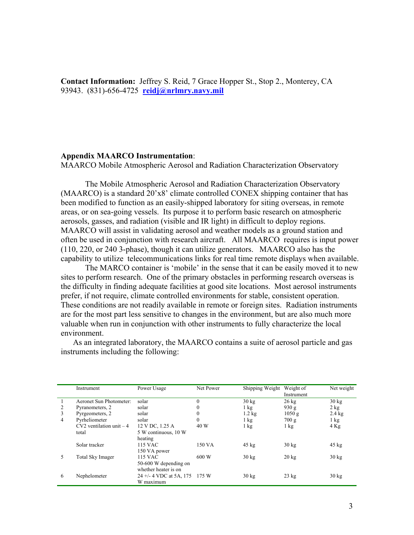**Contact Information:** Jeffrey S. Reid, 7 Grace Hopper St., Stop 2., Monterey, CA 93943. (831)-656-4725 **[reidj@nrlmry.navy.mil](mailto:reidj@nrlmry.navy.mil)**

## **Appendix MAARCO Instrumentation**:

MAARCO Mobile Atmospheric Aerosol and Radiation Characterization Observatory

The Mobile Atmospheric Aerosol and Radiation Characterization Observatory (MAARCO) is a standard 20'x8' climate controlled CONEX shipping container that has been modified to function as an easily-shipped laboratory for siting overseas, in remote areas, or on sea-going vessels. Its purpose it to perform basic research on atmospheric aerosols, gasses, and radiation (visible and IR light) in difficult to deploy regions. MAARCO will assist in validating aerosol and weather models as a ground station and often be used in conjunction with research aircraft. All MAARCO requires is input power (110, 220, or 240 3-phase), though it can utilize generators. MAARCO also has the capability to utilize telecommunications links for real time remote displays when available.

The MARCO container is 'mobile' in the sense that it can be easily moved it to new sites to perform research. One of the primary obstacles in performing research overseas is the difficulty in finding adequate facilities at good site locations. Most aerosol instruments prefer, if not require, climate controlled environments for stable, consistent operation. These conditions are not readily available in remote or foreign sites. Radiation instruments are for the most part less sensitive to changes in the environment, but are also much more valuable when run in conjunction with other instruments to fully characterize the local environment.

As an integrated laboratory, the MAARCO contains a suite of aerosol particle and gas instruments including the following:

|                | Instrument                  | Power Usage                                                        | Net Power | Shipping Weight  | Weight of<br>Instrument | Net weight       |
|----------------|-----------------------------|--------------------------------------------------------------------|-----------|------------------|-------------------------|------------------|
|                | Aeronet Sun Photometer:     | solar                                                              | $\theta$  | $30 \text{ kg}$  | $26 \text{ kg}$         | $30 \text{ kg}$  |
| 2              | Pyranometers, 2             | solar                                                              | 0         | $1 \text{ kg}$   | 930 g                   | $2$ kg           |
| 3              | Pyrgeometers, 2             | solar                                                              | 0         | $1.2 \text{ kg}$ | 1050g                   | $2.4 \text{ kg}$ |
| $\overline{4}$ | Pyrheliometer               | solar                                                              | $\theta$  | $1 \text{ kg}$   | 700g                    | $1 \text{ kg}$   |
|                | $CV2$ ventilation unit $-4$ | 12 V DC, 1.25 A                                                    | 40 W      | $1 \text{ kg}$   | $1 \text{ kg}$          | $4$ Kg           |
|                | total                       | 5 W continuous, 10 W<br>heating                                    |           |                  |                         |                  |
|                | Solar tracker               | 115 VAC<br>150 VA power                                            | 150 VA    | $45 \text{ kg}$  | $30 \text{ kg}$         | $45 \text{ kg}$  |
| 5              | Total Sky Imager            | <b>115 VAC</b><br>50-600 W depending on                            | 600 W     | $30 \text{ kg}$  | $20 \text{ kg}$         | $30 \text{ kg}$  |
| 6              | Nephelometer                | whether heater is on<br>24 +/- 4 VDC at 5A, 175 175 W<br>W maximum |           | $30 \text{ kg}$  | $23$ kg                 | $30 \text{ kg}$  |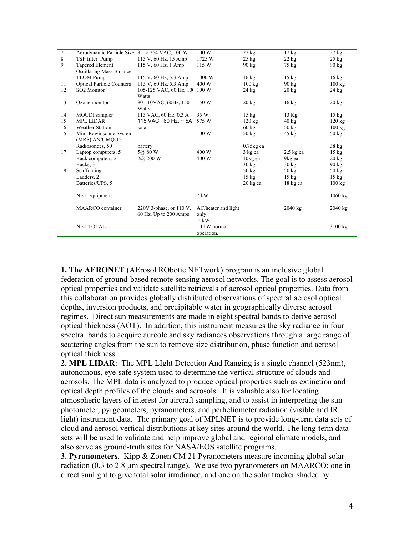| $\tau$ | Aerodynamic Particle Size 85 to 264 VAC, 100 W |                               | 100 W               | $27$ kg            | $17 \text{ kg}$ | 27 kg             |
|--------|------------------------------------------------|-------------------------------|---------------------|--------------------|-----------------|-------------------|
| 8      | TSP filter Pump                                | 115 V, 60 Hz, 15 Amp          | 1725 W              | $25 \text{ kg}$    | $22 \text{ kg}$ | $25 \text{ kg}$   |
| 9      | Tapered Element                                | 115 V, 60 Hz, 1 Amp           | 115 W               | $90 \text{ kg}$    | 75 kg           | $90 \text{ kg}$   |
|        | <b>Oscillating Mass Balance</b>                |                               |                     |                    |                 |                   |
|        | <b>TEOM Pump</b>                               | 115 V, 60 Hz, 5.3 Amp         | 1000 W              | $16 \text{ kg}$    | $15 \text{ kg}$ | $16 \text{ kg}$   |
| 11     | <b>Optical Particle Counters</b>               | 115 V, 60 Hz, 5.3 Amp         | 400 W               | $100 \text{ kg}$   | $90 \text{ kg}$ | 100 kg            |
| 12     | SO2 Monitor                                    | 105-125 VAC, 60 Hz, 100 100 W |                     | $24 \text{ kg}$    | $20 \text{ kg}$ | $24 \text{ kg}$   |
|        |                                                | <b>Watts</b>                  |                     |                    |                 |                   |
| 13     | Ozone monitor                                  | 90-110VAC, 60Hz, 150          | 150 W               | $20 \text{ kg}$    | $16 \text{ kg}$ | $20 \text{ kg}$   |
|        |                                                | Watts                         |                     |                    |                 |                   |
| 14     | MOUDI sampler                                  | 115 VAC, 60 Hz, 0.3 A         | 35 W                | $15 \text{ kg}$    | $13$ Kg         | $15 \text{ kg}$   |
| 15     | <b>MPL LIDAR</b>                               | 115 VAC, 60 Hz, $\sim$ 5A     | 575 W               | $120 \text{ kg}$   | $40 \text{ kg}$ | 120 kg            |
| 16     | <b>Weather Station</b>                         | solar                         |                     | $60 \text{ kg}$    | $50 \text{ kg}$ | $100 \text{ kg}$  |
| 15     | Mini-Rawinsonde System                         |                               | 100 W               | $50 \text{ kg}$    | $45 \text{ kg}$ | $50 \text{ kg}$   |
|        | (MRS) AN/UMQ-12                                |                               |                     |                    |                 |                   |
|        | Radiosondes, 50                                | battery                       |                     | $0.75$ kg ea       |                 | $38$ kg           |
| 17     | Laptop computers, 5                            | 5@80W                         | 400 W               | 3 kg ea            | $2.5$ kg ea     | $15 \text{ kg}$   |
|        | Rack computers, 2                              | 2@200 W                       | 400 W               | 10kg ea            | 9kg ea          | $20 \text{ kg}$   |
|        | Racks, 3                                       |                               |                     | $30 \text{ kg}$    | $30 \text{ kg}$ | $90 \text{ kg}$   |
| 18     | Scaffolding                                    |                               |                     | $50 \text{ kg}$    | $50 \text{ kg}$ | $50 \text{ kg}$   |
|        | Ladders, 2                                     |                               |                     | $15 \text{ kg}$    | $15 \text{ kg}$ | $15 \text{ kg}$   |
|        | Batteries/UPS, 5                               |                               |                     | $20 \text{ kg}$ ea | $18$ kg ea      | $100 \text{ kg}$  |
|        | NET Equipment                                  |                               | $7 \text{ kW}$      |                    |                 | $1060 \text{ kg}$ |
|        | <b>MAARCO</b> container                        | 220V 3-phase, or $110$ V,     | AC/heater and light |                    | $2040$ kg       | $2040 \text{ kg}$ |
|        |                                                | 60 Hz. Up to 200 Amps         | only:               |                    |                 |                   |
|        |                                                |                               | $4 \text{ kW}$      |                    |                 |                   |
|        | <b>NET TOTAL</b>                               |                               | 10 kW normal        |                    |                 | 3100 kg           |
|        |                                                |                               | operation.          |                    |                 |                   |

**1. The AERONET** (AErosol RObotic NETwork) program is an inclusive global federation of ground-based remote sensing aerosol networks. The goal is to assess aerosol optical properties and validate satellite retrievals of aerosol optical properties. Data from this collaboration provides globally distributed observations of spectral aerosol optical depths, inversion products, and precipitable water in geographically diverse aerosol regimes. Direct sun measurements are made in eight spectral bands to derive aerosol optical thickness (AOT). In addition, this instrument measures the sky radiance in four spectral bands to acquire aureole and sky radiances observations through a large range of scattering angles from the sun to retrieve size distribution, phase function and aerosol optical thickness.

**2. MPL LIDAR**: The MPL LIght Detection And Ranging is a single channel (523nm), autonomous, eye-safe system used to determine the vertical structure of clouds and aerosols. The MPL data is analyzed to produce optical properties such as extinction and optical depth profiles of the clouds and aerosols. It is valuable also for locating atmospheric layers of interest for aircraft sampling, and to assist in interpreting the sun photometer, pyrgeometers, pyranometers, and perheliometer radiation (visible and IR light) instrument data. The primary goal of MPLNET is to provide long-term data sets of cloud and aerosol vertical distributions at key sites around the world. The long-term data sets will be used to validate and help improve global and regional climate models, and also serve as ground-truth sites for NASA/EOS satellite programs.

**3. Pyranometers**. Kipp & Zonen CM 21 Pyranometers measure incoming global solar radiation (0.3 to 2.8 µm spectral range). We use two pyranometers on MAARCO: one in direct sunlight to give total solar irradiance, and one on the solar tracker shaded by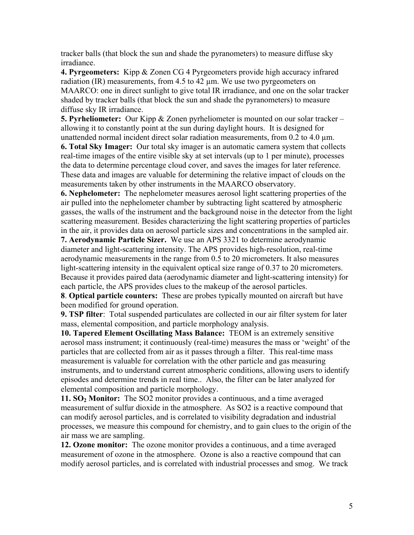tracker balls (that block the sun and shade the pyranometers) to measure diffuse sky irradiance.

**4. Pyrgeometers:** Kipp & Zonen CG 4 Pyrgeometers provide high accuracy infrared radiation  $(IR)$  measurements, from 4.5 to 42  $\mu$ m. We use two pyrgeometers on MAARCO: one in direct sunlight to give total IR irradiance, and one on the solar tracker shaded by tracker balls (that block the sun and shade the pyranometers) to measure diffuse sky IR irradiance.

**5. Pyrheliometer:** Our Kipp & Zonen pyrheliometer is mounted on our solar tracker – allowing it to constantly point at the sun during daylight hours. It is designed for unattended normal incident direct solar radiation measurements, from  $0.2$  to  $4.0 \mu m$ .

**6. Total Sky Imager:** Our total sky imager is an automatic camera system that collects real-time images of the entire visible sky at set intervals (up to 1 per minute), processes the data to determine percentage cloud cover, and saves the images for later reference. These data and images are valuable for determining the relative impact of clouds on the measurements taken by other instruments in the MAARCO observatory.

**6. Nephelometer:** The nephelometer measures aerosol light scattering properties of the air pulled into the nephelometer chamber by subtracting light scattered by atmospheric gasses, the walls of the instrument and the background noise in the detector from the light scattering measurement. Besides characterizing the light scattering properties of particles in the air, it provides data on aerosol particle sizes and concentrations in the sampled air.

**7. Aerodynamic Particle Sizer.** We use an APS 3321 to determine aerodynamic diameter and light-scattering intensity. The APS provides high-resolution, real-time aerodynamic measurements in the range from 0.5 to 20 micrometers. It also measures light-scattering intensity in the equivalent optical size range of 0.37 to 20 micrometers. Because it provides paired data (aerodynamic diameter and light-scattering intensity) for each particle, the APS provides clues to the makeup of the aerosol particles.

**8**. **Optical particle counters:** These are probes typically mounted on aircraft but have been modified for ground operation.

**9. TSP filter**: Total suspended particulates are collected in our air filter system for later mass, elemental composition, and particle morphology analysis.

**10. Tapered Element Oscillating Mass Balance:** TEOM is an extremely sensitive aerosol mass instrument; it continuously (real-time) measures the mass or 'weight' of the particles that are collected from air as it passes through a filter. This real-time mass measurement is valuable for correlation with the other particle and gas measuring instruments, and to understand current atmospheric conditions, allowing users to identify episodes and determine trends in real time.. Also, the filter can be later analyzed for elemental composition and particle morphology.

**11. SO2 Monitor:** The SO2 monitor provides a continuous, and a time averaged measurement of sulfur dioxide in the atmosphere. As SO2 is a reactive compound that can modify aerosol particles, and is correlated to visibility degradation and industrial processes, we measure this compound for chemistry, and to gain clues to the origin of the air mass we are sampling.

**12. Ozone monitor:** The ozone monitor provides a continuous, and a time averaged measurement of ozone in the atmosphere. Ozone is also a reactive compound that can modify aerosol particles, and is correlated with industrial processes and smog. We track